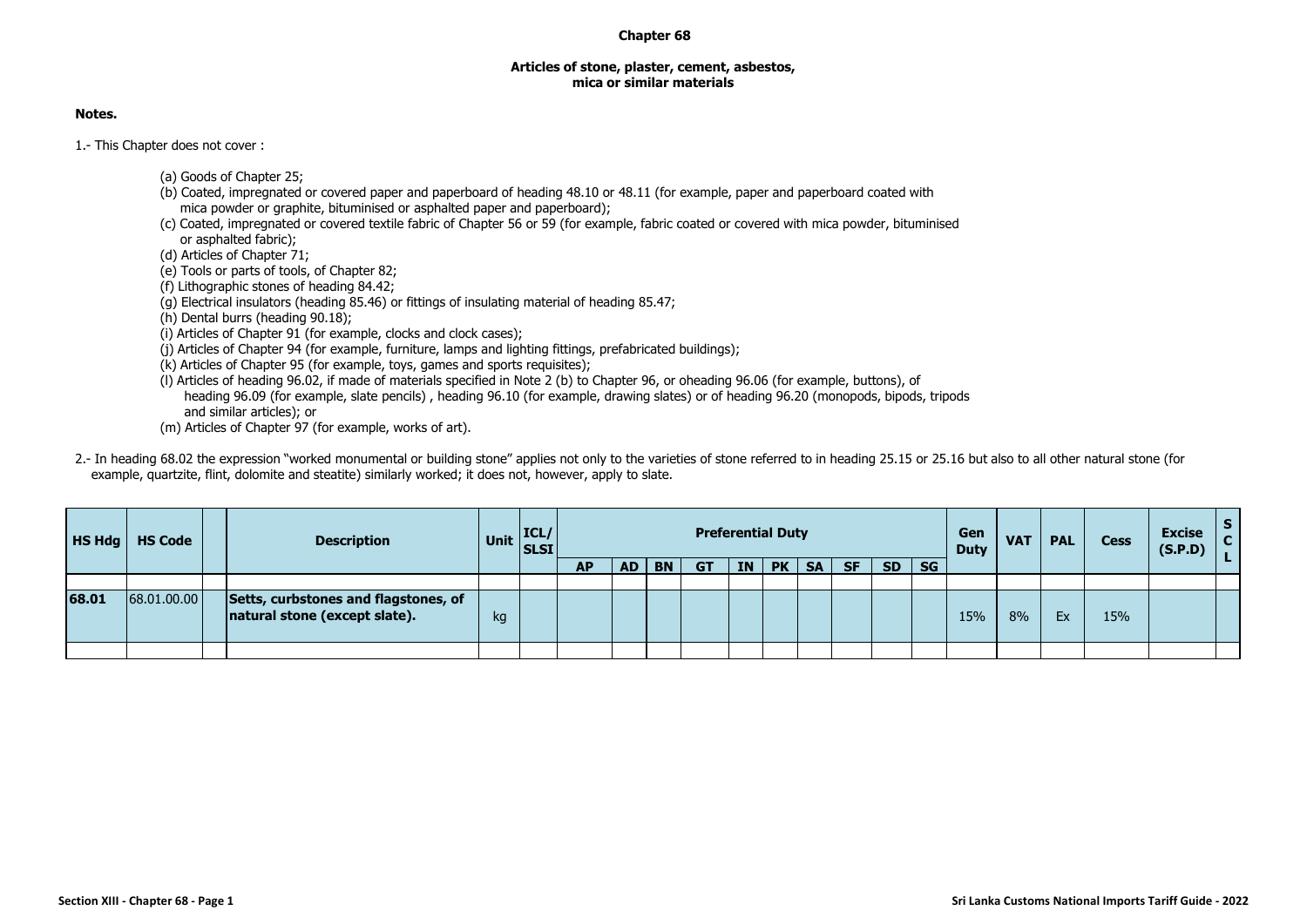## **Chapter 68**

## **Articles of stone, plaster, cement, asbestos, mica or similar materials**

## **Notes.**

1.- This Chapter does not cover :

- (a) Goods of Chapter 25;
- (b) Coated, impregnated or covered paper and paperboard of heading 48.10 or 48.11 (for example, paper and paperboard coated with mica powder or graphite, bituminised or asphalted paper and paperboard);
- (c) Coated, impregnated or covered textile fabric of Chapter 56 or 59 (for example, fabric coated or covered with mica powder, bituminised or asphalted fabric);

(d) Articles of Chapter 71;

- (e) Tools or parts of tools, of Chapter 82;
- (f) Lithographic stones of heading 84.42;
- (g) Electrical insulators (heading 85.46) or fittings of insulating material of heading 85.47;
- (h) Dental burrs (heading 90.18);
- (i) Articles of Chapter 91 (for example, clocks and clock cases);
- (j) Articles of Chapter 94 (for example, furniture, lamps and lighting fittings, prefabricated buildings);
- (k) Articles of Chapter 95 (for example, toys, games and sports requisites);
- (l) Articles of heading 96.02, if made of materials specified in Note 2 (b) to Chapter 96, or oheading 96.06 (for example, buttons), of heading 96.09 (for example, slate pencils) , heading 96.10 (for example, drawing slates) or of heading 96.20 (monopods, bipods, tripods and similar articles); or
- (m) Articles of Chapter 97 (for example, works of art).
- 2.- In heading 68.02 the expression "worked monumental or building stone" applies not only to the varieties of stone referred to in heading 25.15 or 25.16 but also to all other natural stone (for example, quartzite, flint, dolomite and steatite) similarly worked; it does not, however, apply to slate.

| <b>HS Hdg</b> | <b>HS Code</b> | <b>Description</b>                                                    | Unit $\begin{vmatrix} \text{ICL/} \\ \text{SLSI} \end{vmatrix}$ |    |           |           |     |           | <b>Preferential Duty</b> |           |           |           |           | Gen<br><b>Duty</b> | <b>VAT</b> | <b>PAL</b> | <b>Cess</b> | <b>Excise</b><br>(S.P.D) |  |
|---------------|----------------|-----------------------------------------------------------------------|-----------------------------------------------------------------|----|-----------|-----------|-----|-----------|--------------------------|-----------|-----------|-----------|-----------|--------------------|------------|------------|-------------|--------------------------|--|
|               |                |                                                                       |                                                                 | АP | <b>AD</b> | <b>BN</b> | GT. | <b>IN</b> | <b>PK</b>                | <b>SA</b> | <b>SF</b> | <b>SD</b> | <b>SG</b> |                    |            |            |             |                          |  |
|               |                |                                                                       |                                                                 |    |           |           |     |           |                          |           |           |           |           |                    |            |            |             |                          |  |
| 68.01         | 68.01.00.00    | Setts, curbstones and flagstones, of<br>natural stone (except slate). | kg                                                              |    |           |           |     |           |                          |           |           |           |           | 15%                | 8%         | Ex         | 15%         |                          |  |
|               |                |                                                                       |                                                                 |    |           |           |     |           |                          |           |           |           |           |                    |            |            |             |                          |  |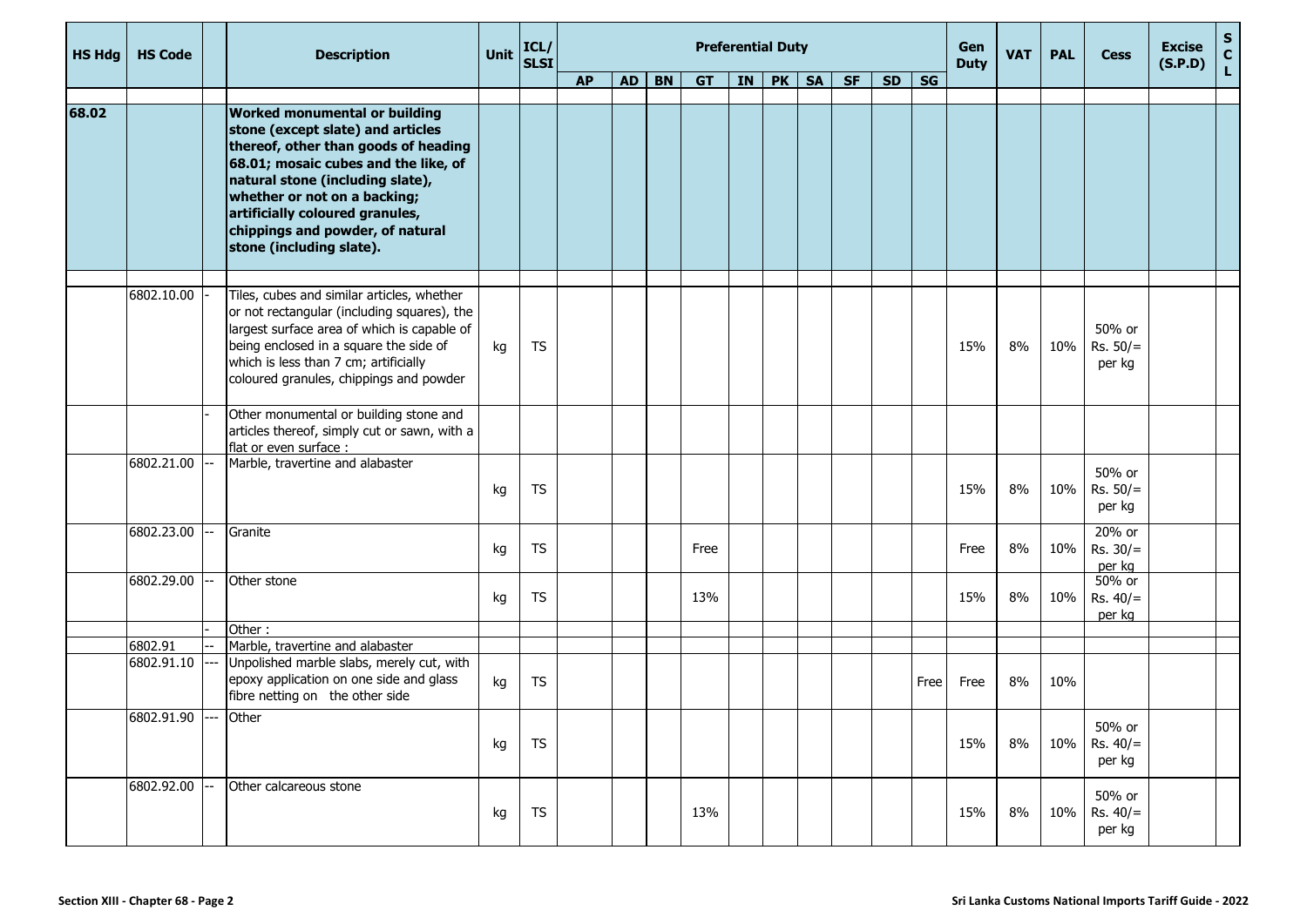| <b>HS Hdg</b> | <b>HS Code</b>        | <b>Description</b>                                                                                                                                                                                                                                                                                                               | Unit | ICL/<br>SLSI |           |    |           |           |           | <b>Preferential Duty</b> |           |           |           |      | Gen<br><b>Duty</b> | <b>VAT</b> | <b>PAL</b> | <b>Cess</b>                    | <b>Excise</b><br>(S.P.D) | $\begin{bmatrix} 5 \\ C \\ L \end{bmatrix}$ |
|---------------|-----------------------|----------------------------------------------------------------------------------------------------------------------------------------------------------------------------------------------------------------------------------------------------------------------------------------------------------------------------------|------|--------------|-----------|----|-----------|-----------|-----------|--------------------------|-----------|-----------|-----------|------|--------------------|------------|------------|--------------------------------|--------------------------|---------------------------------------------|
|               |                       |                                                                                                                                                                                                                                                                                                                                  |      |              | <b>AP</b> | AD | <b>BN</b> | <b>GT</b> | <b>IN</b> | PK                       | <b>SA</b> | <b>SF</b> | <b>SD</b> | SG   |                    |            |            |                                |                          |                                             |
| 68.02         |                       | <b>Worked monumental or building</b><br>stone (except slate) and articles<br>thereof, other than goods of heading<br>68.01; mosaic cubes and the like, of<br>natural stone (including slate),<br>whether or not on a backing;<br>artificially coloured granules,<br>chippings and powder, of natural<br>stone (including slate). |      |              |           |    |           |           |           |                          |           |           |           |      |                    |            |            |                                |                          |                                             |
|               | 6802.10.00            | Tiles, cubes and similar articles, whether<br>or not rectangular (including squares), the<br>largest surface area of which is capable of<br>being enclosed in a square the side of<br>which is less than 7 cm; artificially<br>coloured granules, chippings and powder                                                           | kg   | TS           |           |    |           |           |           |                          |           |           |           |      | 15%                | 8%         | 10%        | 50% or<br>$Rs. 50/=$<br>per kg |                          |                                             |
|               |                       | Other monumental or building stone and<br>articles thereof, simply cut or sawn, with a<br>flat or even surface :                                                                                                                                                                                                                 |      |              |           |    |           |           |           |                          |           |           |           |      |                    |            |            |                                |                          |                                             |
|               | 6802.21.00            | Marble, travertine and alabaster                                                                                                                                                                                                                                                                                                 | kg   | <b>TS</b>    |           |    |           |           |           |                          |           |           |           |      | 15%                | 8%         | 10%        | 50% or<br>$Rs. 50/=$<br>per kg |                          |                                             |
|               | 6802.23.00            | Granite                                                                                                                                                                                                                                                                                                                          | kg   | <b>TS</b>    |           |    |           | Free      |           |                          |           |           |           |      | Free               | 8%         | 10%        | 20% or<br>$Rs. 30/=$<br>per kg |                          |                                             |
|               | 6802.29.00            | Other stone                                                                                                                                                                                                                                                                                                                      | kg   | <b>TS</b>    |           |    |           | 13%       |           |                          |           |           |           |      | 15%                | 8%         | 10%        | 50% or<br>$Rs. 40/=$<br>per kg |                          |                                             |
|               |                       | Other:                                                                                                                                                                                                                                                                                                                           |      |              |           |    |           |           |           |                          |           |           |           |      |                    |            |            |                                |                          |                                             |
|               | 6802.91<br>6802.91.10 | Marble, travertine and alabaster<br>Unpolished marble slabs, merely cut, with<br>epoxy application on one side and glass<br>fibre netting on the other side                                                                                                                                                                      | kg   | <b>TS</b>    |           |    |           |           |           |                          |           |           |           | Free | Free               | 8%         | 10%        |                                |                          |                                             |
|               | 6802.91.90 ---        | Other                                                                                                                                                                                                                                                                                                                            | kg   | TS           |           |    |           |           |           |                          |           |           |           |      | 15%                | 8%         | 10%        | 50% or<br>$Rs. 40/=$<br>per kg |                          |                                             |
|               | 6802.92.00            | Other calcareous stone                                                                                                                                                                                                                                                                                                           | kg   | <b>TS</b>    |           |    |           | 13%       |           |                          |           |           |           |      | 15%                | 8%         | 10%        | 50% or<br>$Rs. 40/=$<br>per kg |                          |                                             |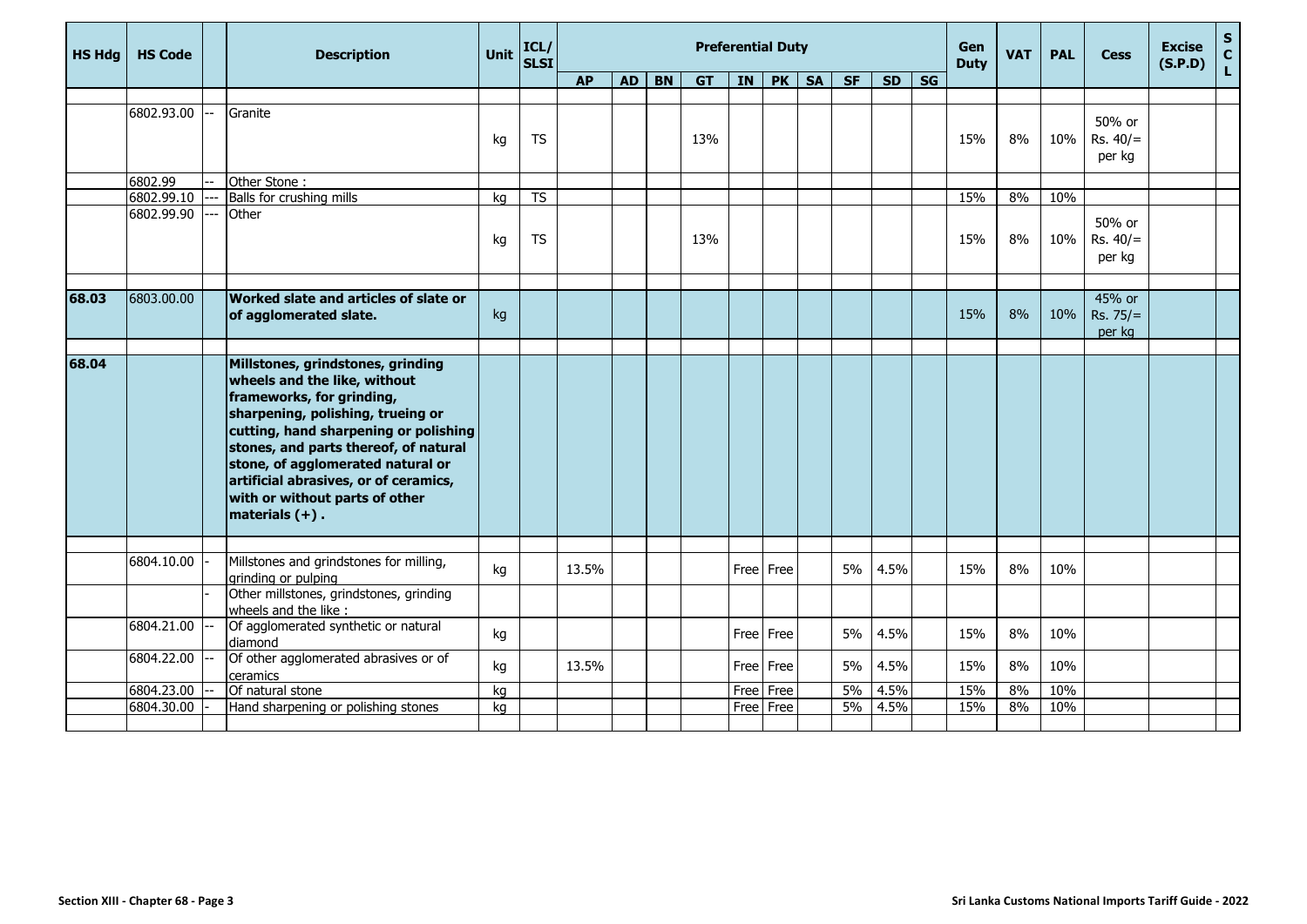| <b>HS Hdg</b> | <b>HS Code</b> | <b>Description</b>                                                                                                                                                                                                                                                                                                                                         | Unit | ICL/<br><b>SLSI</b> |           |           |           |           | <b>Preferential Duty</b> |           |           |           |           |                        | <b>Gen</b><br><b>Duty</b> | <b>VAT</b> | <b>PAL</b> | <b>Cess</b>                    | <b>Excise</b><br>(S.P.D) | $\sf{s}$<br>$\mathbf{C}$ |
|---------------|----------------|------------------------------------------------------------------------------------------------------------------------------------------------------------------------------------------------------------------------------------------------------------------------------------------------------------------------------------------------------------|------|---------------------|-----------|-----------|-----------|-----------|--------------------------|-----------|-----------|-----------|-----------|------------------------|---------------------------|------------|------------|--------------------------------|--------------------------|--------------------------|
|               |                |                                                                                                                                                                                                                                                                                                                                                            |      |                     | <b>AP</b> | <b>AD</b> | <b>BN</b> | <b>GT</b> | <b>IN</b>                | PK        | <b>SA</b> | <b>SF</b> | <b>SD</b> | $\overline{\text{SG}}$ |                           |            |            |                                |                          | $\mathsf{L}$             |
|               |                |                                                                                                                                                                                                                                                                                                                                                            |      |                     |           |           |           |           |                          |           |           |           |           |                        |                           |            |            |                                |                          |                          |
|               | 6802.93.00     | Granite                                                                                                                                                                                                                                                                                                                                                    | kg   | <b>TS</b>           |           |           |           | 13%       |                          |           |           |           |           |                        | 15%                       | 8%         | 10%        | 50% or<br>$Rs. 40/=$<br>per kg |                          |                          |
|               | 6802.99        | Other Stone:                                                                                                                                                                                                                                                                                                                                               |      |                     |           |           |           |           |                          |           |           |           |           |                        |                           |            |            |                                |                          |                          |
|               | 6802.99.10     | Balls for crushing mills                                                                                                                                                                                                                                                                                                                                   | kg   | <b>TS</b>           |           |           |           |           |                          |           |           |           |           |                        | 15%                       | 8%         | 10%        |                                |                          |                          |
|               | 6802.99.90     | Other                                                                                                                                                                                                                                                                                                                                                      | kg   | <b>TS</b>           |           |           |           | 13%       |                          |           |           |           |           |                        | 15%                       | 8%         | 10%        | 50% or<br>$Rs. 40/=$<br>per kg |                          |                          |
| 68.03         | 6803.00.00     | Worked slate and articles of slate or<br>of agglomerated slate.                                                                                                                                                                                                                                                                                            | kg   |                     |           |           |           |           |                          |           |           |           |           |                        | 15%                       | 8%         | 10%        | 45% or<br>Rs. 75/<br>per kg    |                          |                          |
|               |                |                                                                                                                                                                                                                                                                                                                                                            |      |                     |           |           |           |           |                          |           |           |           |           |                        |                           |            |            |                                |                          |                          |
| 68.04         |                | Millstones, grindstones, grinding<br>wheels and the like, without<br>frameworks, for grinding,<br>sharpening, polishing, trueing or<br>cutting, hand sharpening or polishing<br>stones, and parts thereof, of natural<br>stone, of agglomerated natural or<br>artificial abrasives, or of ceramics,<br>with or without parts of other<br>materials $(+)$ . |      |                     |           |           |           |           |                          |           |           |           |           |                        |                           |            |            |                                |                          |                          |
|               |                |                                                                                                                                                                                                                                                                                                                                                            |      |                     |           |           |           |           |                          |           |           |           |           |                        |                           |            |            |                                |                          |                          |
|               | 6804.10.00     | Millstones and grindstones for milling,<br>grinding or pulping                                                                                                                                                                                                                                                                                             | kg   |                     | 13.5%     |           |           |           |                          | Free Free |           | 5%        | 4.5%      |                        | 15%                       | 8%         | 10%        |                                |                          |                          |
|               |                | Other millstones, grindstones, grinding<br>wheels and the like :                                                                                                                                                                                                                                                                                           |      |                     |           |           |           |           |                          |           |           |           |           |                        |                           |            |            |                                |                          |                          |
|               | 6804.21.00     | Of agglomerated synthetic or natural<br>diamond                                                                                                                                                                                                                                                                                                            | kg   |                     |           |           |           |           |                          | Free Free |           | 5%        | 4.5%      |                        | 15%                       | 8%         | 10%        |                                |                          |                          |
|               | 6804.22.00     | Of other agglomerated abrasives or of<br>ceramics                                                                                                                                                                                                                                                                                                          | kg   |                     | 13.5%     |           |           |           |                          | Free Free |           | 5%        | 4.5%      |                        | 15%                       | 8%         | 10%        |                                |                          |                          |
|               | 6804.23.00     | Of natural stone                                                                                                                                                                                                                                                                                                                                           | kg   |                     |           |           |           |           | Free                     | Free      |           | 5%        | 4.5%      |                        | 15%                       | 8%         | 10%        |                                |                          |                          |
|               | 6804.30.00     | Hand sharpening or polishing stones                                                                                                                                                                                                                                                                                                                        | kg   |                     |           |           |           |           |                          | Free Free |           | 5%        | 4.5%      |                        | 15%                       | 8%         | 10%        |                                |                          |                          |
|               |                |                                                                                                                                                                                                                                                                                                                                                            |      |                     |           |           |           |           |                          |           |           |           |           |                        |                           |            |            |                                |                          |                          |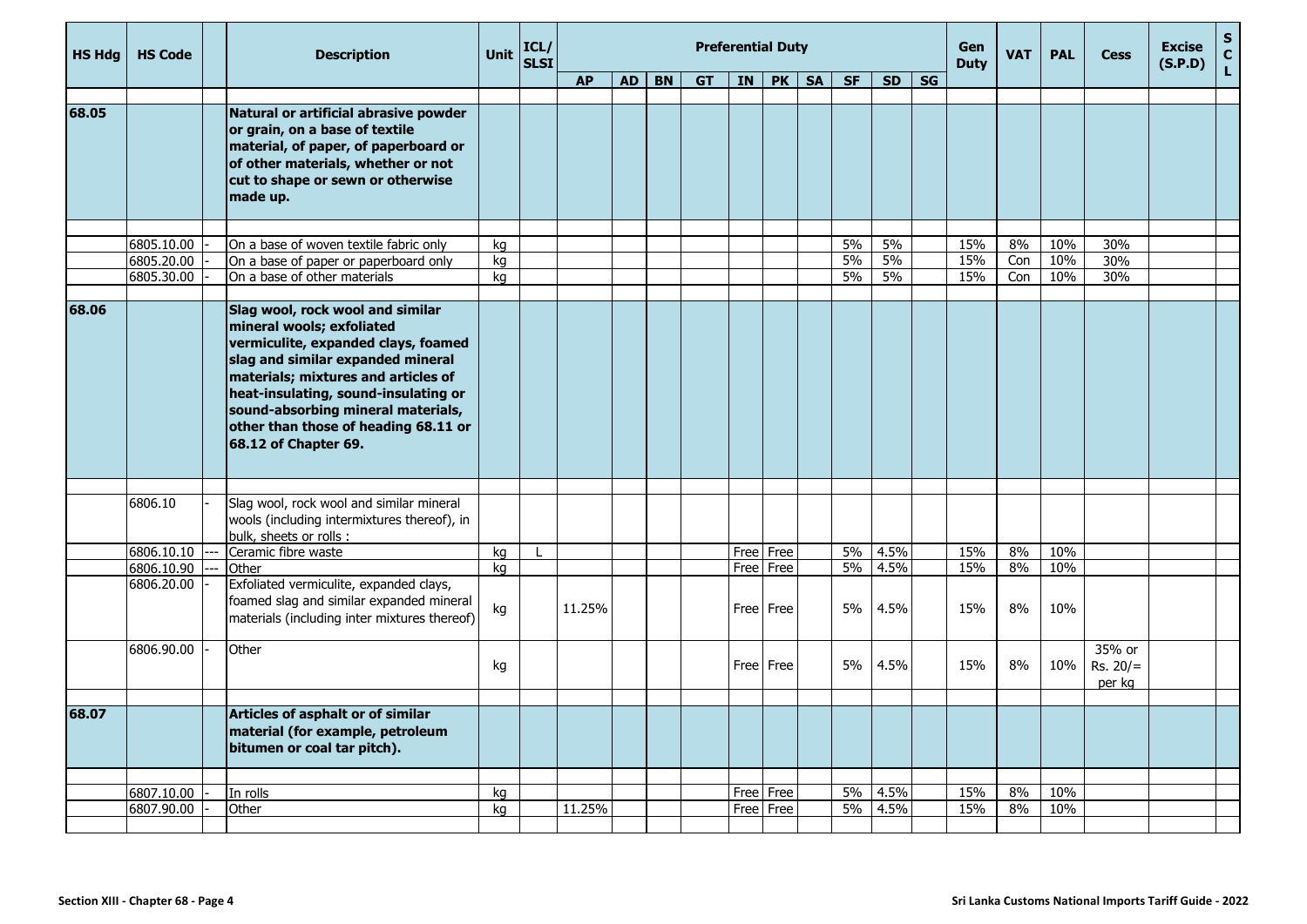| <b>HS Hdg</b> | <b>HS Code</b>           | <b>Description</b>                                                                                                                                                                                                                                                                                                             | <b>Unit</b> | ICL/<br><b>SLSI</b> |           |           |           |           | <b>Preferential Duty</b> |           |           |           |           |           | Gen<br><b>Duty</b> | <b>VAT</b> | <b>PAL</b> | <b>Cess</b>                    | <b>Excise</b><br>(S.P.D) | $\mathbf S$<br>$\mathbf{C}$ |
|---------------|--------------------------|--------------------------------------------------------------------------------------------------------------------------------------------------------------------------------------------------------------------------------------------------------------------------------------------------------------------------------|-------------|---------------------|-----------|-----------|-----------|-----------|--------------------------|-----------|-----------|-----------|-----------|-----------|--------------------|------------|------------|--------------------------------|--------------------------|-----------------------------|
|               |                          |                                                                                                                                                                                                                                                                                                                                |             |                     | <b>AP</b> | <b>AD</b> | <b>BN</b> | <b>GT</b> | <b>IN</b>                | PK        | <b>SA</b> | <b>SF</b> | <b>SD</b> | <b>SG</b> |                    |            |            |                                |                          | L                           |
|               |                          |                                                                                                                                                                                                                                                                                                                                |             |                     |           |           |           |           |                          |           |           |           |           |           |                    |            |            |                                |                          |                             |
| 68.05         |                          | Natural or artificial abrasive powder<br>or grain, on a base of textile<br>material, of paper, of paperboard or<br>of other materials, whether or not<br>cut to shape or sewn or otherwise<br>made up.                                                                                                                         |             |                     |           |           |           |           |                          |           |           |           |           |           |                    |            |            |                                |                          |                             |
|               |                          |                                                                                                                                                                                                                                                                                                                                |             |                     |           |           |           |           |                          |           |           |           |           |           |                    |            |            |                                |                          |                             |
|               | 6805.10.00<br>6805.20.00 | On a base of woven textile fabric only                                                                                                                                                                                                                                                                                         | kg          |                     |           |           |           |           |                          |           |           | 5%<br>5%  | 5%<br>5%  |           | 15%<br>15%         | 8%<br>Con  | 10%<br>10% | 30%<br>30%                     |                          |                             |
|               | 6805.30.00               | On a base of paper or paperboard only<br>On a base of other materials                                                                                                                                                                                                                                                          | kg<br>kg    |                     |           |           |           |           |                          |           |           | 5%        | 5%        |           | 15%                | Con        | 10%        | 30%                            |                          |                             |
|               |                          |                                                                                                                                                                                                                                                                                                                                |             |                     |           |           |           |           |                          |           |           |           |           |           |                    |            |            |                                |                          |                             |
| 68.06         |                          | Slag wool, rock wool and similar<br>mineral wools; exfoliated<br>vermiculite, expanded clays, foamed<br>slag and similar expanded mineral<br>materials; mixtures and articles of<br>heat-insulating, sound-insulating or<br>sound-absorbing mineral materials,<br>other than those of heading 68.11 or<br>68.12 of Chapter 69. |             |                     |           |           |           |           |                          |           |           |           |           |           |                    |            |            |                                |                          |                             |
|               | 6806.10                  | Slag wool, rock wool and similar mineral<br>wools (including intermixtures thereof), in<br>bulk, sheets or rolls :                                                                                                                                                                                                             |             |                     |           |           |           |           |                          |           |           |           |           |           |                    |            |            |                                |                          |                             |
|               | 6806.10.10               | Ceramic fibre waste                                                                                                                                                                                                                                                                                                            | kg          |                     |           |           |           |           |                          | Free Free |           | 5%        | 4.5%      |           | 15%                | 8%         | 10%        |                                |                          |                             |
|               | 6806.10.90               | Other                                                                                                                                                                                                                                                                                                                          | kg          |                     |           |           |           |           | Free                     | Free      |           | 5%        | 4.5%      |           | 15%                | 8%         | 10%        |                                |                          |                             |
|               | 6806.20.00               | Exfoliated vermiculite, expanded clays,<br>foamed slag and similar expanded mineral<br>materials (including inter mixtures thereof)                                                                                                                                                                                            | kg          |                     | 11.25%    |           |           |           |                          | Free Free |           | 5%        | 4.5%      |           | 15%                | 8%         | 10%        |                                |                          |                             |
|               | 6806.90.00               | Other                                                                                                                                                                                                                                                                                                                          | kg          |                     |           |           |           |           |                          | Free Free |           | 5%        | 4.5%      |           | 15%                | 8%         | 10%        | 35% or<br>$Rs. 20/=$<br>per kg |                          |                             |
|               |                          |                                                                                                                                                                                                                                                                                                                                |             |                     |           |           |           |           |                          |           |           |           |           |           |                    |            |            |                                |                          |                             |
| 68.07         |                          | Articles of asphalt or of similar<br>material (for example, petroleum<br>bitumen or coal tar pitch).                                                                                                                                                                                                                           |             |                     |           |           |           |           |                          |           |           |           |           |           |                    |            |            |                                |                          |                             |
|               |                          |                                                                                                                                                                                                                                                                                                                                |             |                     |           |           |           |           |                          |           |           |           |           |           |                    |            |            |                                |                          |                             |
|               | 6807.10.00               | In rolls                                                                                                                                                                                                                                                                                                                       | kg          |                     |           |           |           |           |                          | Free Free |           | 5%        | 4.5%      |           | 15%                | 8%         | 10%        |                                |                          |                             |
|               | 6807.90.00               | Other                                                                                                                                                                                                                                                                                                                          | kg          |                     | 11.25%    |           |           |           |                          | Free Free |           | $5\%$     | 4.5%      |           | 15%                | 8%         | 10%        |                                |                          |                             |
|               |                          |                                                                                                                                                                                                                                                                                                                                |             |                     |           |           |           |           |                          |           |           |           |           |           |                    |            |            |                                |                          |                             |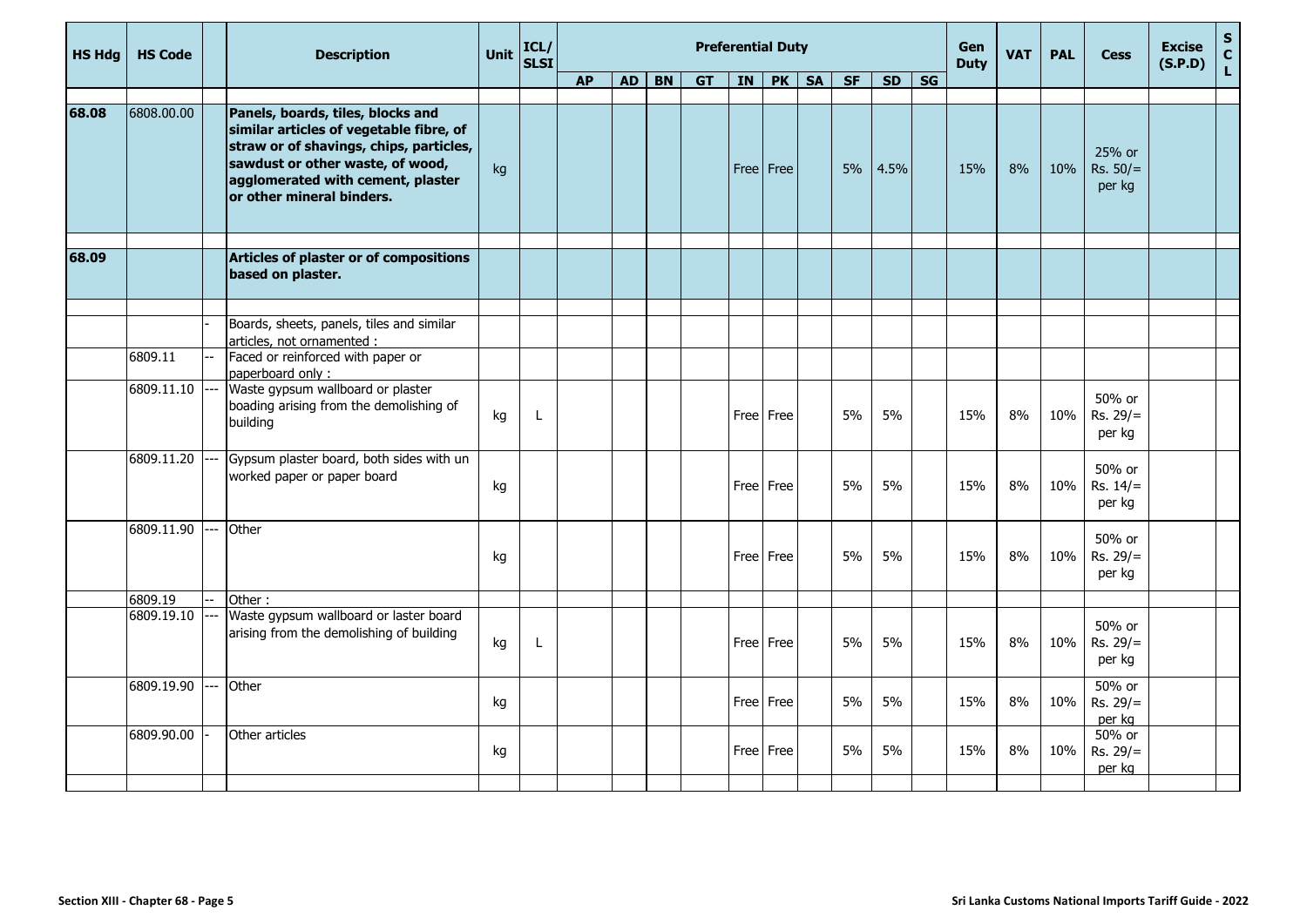| <b>HS Hdg</b> | <b>HS Code</b>   |    | <b>Description</b>                                                                                                                                                                                                            | Unit | ICL/<br><b>SLSI</b> |           |           |                |           |                 | <b>Preferential Duty</b> |           |       |           |                          | <b>Gen</b><br><b>Duty</b> | <b>VAT</b> | <b>PAL</b> | <b>Cess</b>                    | <b>Excise</b><br>(S.P.D) | $\mathsf{s}$<br>$\mathbf{C}$ |
|---------------|------------------|----|-------------------------------------------------------------------------------------------------------------------------------------------------------------------------------------------------------------------------------|------|---------------------|-----------|-----------|----------------|-----------|-----------------|--------------------------|-----------|-------|-----------|--------------------------|---------------------------|------------|------------|--------------------------------|--------------------------|------------------------------|
|               |                  |    |                                                                                                                                                                                                                               |      |                     | <b>AP</b> | <b>AD</b> | B <sub>N</sub> | <b>GT</b> | $\overline{IN}$ | PK                       | <b>SA</b> | $S$ F | <b>SD</b> | $\overline{\mathsf{SG}}$ |                           |            |            |                                |                          | $\mathsf{L}$                 |
| 68.08         | 6808.00.00       |    | Panels, boards, tiles, blocks and<br>similar articles of vegetable fibre, of<br>straw or of shavings, chips, particles,<br>sawdust or other waste, of wood,<br>agglomerated with cement, plaster<br>or other mineral binders. | kg   |                     |           |           |                |           |                 | Free Free                |           | 5%    | 4.5%      |                          | 15%                       | 8%         | 10%        | 25% or<br>$Rs. 50/=$<br>per kg |                          |                              |
| 68.09         |                  |    | Articles of plaster or of compositions<br>based on plaster.                                                                                                                                                                   |      |                     |           |           |                |           |                 |                          |           |       |           |                          |                           |            |            |                                |                          |                              |
|               |                  |    |                                                                                                                                                                                                                               |      |                     |           |           |                |           |                 |                          |           |       |           |                          |                           |            |            |                                |                          |                              |
|               |                  |    | Boards, sheets, panels, tiles and similar<br>articles, not ornamented :                                                                                                                                                       |      |                     |           |           |                |           |                 |                          |           |       |           |                          |                           |            |            |                                |                          |                              |
|               | 6809.11          |    | Faced or reinforced with paper or<br>paperboard only:                                                                                                                                                                         |      |                     |           |           |                |           |                 |                          |           |       |           |                          |                           |            |            |                                |                          |                              |
|               | $6809.11.10$ --- |    | Waste gypsum wallboard or plaster<br>boading arising from the demolishing of<br>building                                                                                                                                      | kg   | L                   |           |           |                |           |                 | Free Free                |           | 5%    | 5%        |                          | 15%                       | 8%         | 10%        | 50% or<br>$Rs. 29/=$<br>per kg |                          |                              |
|               | 6809.11.20       |    | Gypsum plaster board, both sides with un<br>worked paper or paper board                                                                                                                                                       | kg   |                     |           |           |                |           |                 | Free   Free              |           | 5%    | 5%        |                          | 15%                       | 8%         | 10%        | 50% or<br>$Rs. 14/=$<br>per kg |                          |                              |
|               | 6809.11.90       |    | Other                                                                                                                                                                                                                         | kg   |                     |           |           |                |           |                 | Free   Free              |           | 5%    | 5%        |                          | 15%                       | 8%         | 10%        | 50% or<br>$Rs. 29/=$<br>per kg |                          |                              |
|               | 6809.19          |    | Other:                                                                                                                                                                                                                        |      |                     |           |           |                |           |                 |                          |           |       |           |                          |                           |            |            |                                |                          |                              |
|               | 6809.19.10       |    | Waste gypsum wallboard or laster board<br>arising from the demolishing of building                                                                                                                                            | kg   | L                   |           |           |                |           |                 | Free Free                |           | 5%    | 5%        |                          | 15%                       | 8%         | 10%        | 50% or<br>$Rs. 29/=$<br>per kg |                          |                              |
|               | 6809.19.90       | -- | Other                                                                                                                                                                                                                         | kg   |                     |           |           |                |           |                 | Free Free                |           | 5%    | 5%        |                          | 15%                       | 8%         | 10%        | 50% or<br>$Rs. 29/=$<br>per kg |                          |                              |
|               | 6809.90.00       |    | Other articles                                                                                                                                                                                                                | kg   |                     |           |           |                |           |                 | Free Free                |           | 5%    | 5%        |                          | 15%                       | 8%         | 10%        | 50% or<br>$Rs. 29/=$<br>per kg |                          |                              |
|               |                  |    |                                                                                                                                                                                                                               |      |                     |           |           |                |           |                 |                          |           |       |           |                          |                           |            |            |                                |                          |                              |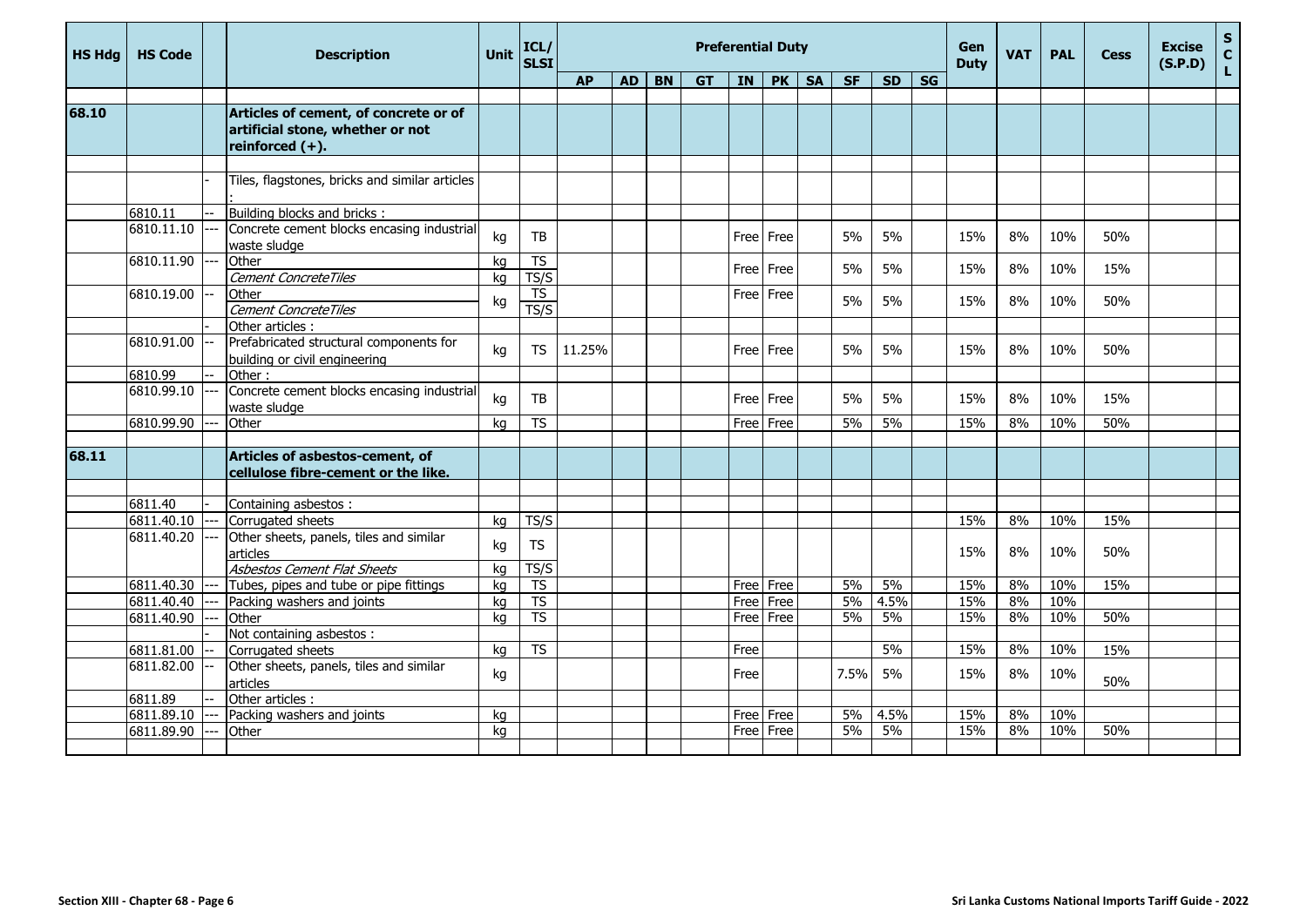| <b>HS Hdg</b> | <b>HS Code</b> | <b>Description</b>                                                                              | <b>Unit</b> | ICL/<br><b>SLSI</b>      |           |    |           |           |      | <b>Preferential Duty</b> |           |           |           |           | Gen<br><b>Duty</b> | <b>VAT</b> | <b>PAL</b> | <b>Cess</b> | <b>Excise</b><br>(S.P.D) | $\mathsf{s}$<br>$\mathbf c$ |
|---------------|----------------|-------------------------------------------------------------------------------------------------|-------------|--------------------------|-----------|----|-----------|-----------|------|--------------------------|-----------|-----------|-----------|-----------|--------------------|------------|------------|-------------|--------------------------|-----------------------------|
|               |                |                                                                                                 |             |                          | <b>AP</b> | AD | <b>BN</b> | <b>GT</b> | IN   | PK                       | <b>SA</b> | <b>SF</b> | <b>SD</b> | <b>SG</b> |                    |            |            |             |                          | L.                          |
|               |                |                                                                                                 |             |                          |           |    |           |           |      |                          |           |           |           |           |                    |            |            |             |                          |                             |
| 68.10         |                | Articles of cement, of concrete or of<br>artificial stone, whether or not<br>reinforced $(+)$ . |             |                          |           |    |           |           |      |                          |           |           |           |           |                    |            |            |             |                          |                             |
|               |                |                                                                                                 |             |                          |           |    |           |           |      |                          |           |           |           |           |                    |            |            |             |                          |                             |
|               |                | Tiles, flagstones, bricks and similar articles                                                  |             |                          |           |    |           |           |      |                          |           |           |           |           |                    |            |            |             |                          |                             |
|               | 6810.11        | Building blocks and bricks:                                                                     |             |                          |           |    |           |           |      |                          |           |           |           |           |                    |            |            |             |                          |                             |
|               | 6810.11.10     | Concrete cement blocks encasing industrial<br>waste sludge                                      | kg          | TB                       |           |    |           |           |      | Free Free                |           | 5%        | 5%        |           | 15%                | 8%         | 10%        | 50%         |                          |                             |
|               | 6810.11.90     | Other                                                                                           | kg          | <b>TS</b>                |           |    |           |           |      | Free Free                |           | 5%        | 5%        |           | 15%                | 8%         | 10%        | 15%         |                          |                             |
|               |                | Cement ConcreteTiles                                                                            | ka          | TS/S                     |           |    |           |           |      |                          |           |           |           |           |                    |            |            |             |                          |                             |
|               | 6810.19.00     | Other                                                                                           | kg          | <b>TS</b>                |           |    |           |           |      | Free Free                |           | 5%        | 5%        |           | 15%                | 8%         | 10%        | 50%         |                          |                             |
|               |                | Cement ConcreteTiles<br>Other articles :                                                        |             | TS/S                     |           |    |           |           |      |                          |           |           |           |           |                    |            |            |             |                          |                             |
|               | 6810.91.00     | Prefabricated structural components for                                                         |             |                          |           |    |           |           |      |                          |           |           |           |           |                    |            |            |             |                          |                             |
|               |                | building or civil engineering                                                                   | kg          | <b>TS</b>                | 11.25%    |    |           |           |      | Free Free                |           | 5%        | 5%        |           | 15%                | 8%         | 10%        | 50%         |                          |                             |
|               | 6810.99        | Other:                                                                                          |             |                          |           |    |           |           |      |                          |           |           |           |           |                    |            |            |             |                          |                             |
|               | 6810.99.10     | Concrete cement blocks encasing industrial<br>waste sludge                                      | kg          | TB                       |           |    |           |           |      | Free Free                |           | 5%        | 5%        |           | 15%                | 8%         | 10%        | 15%         |                          |                             |
|               | 6810.99.90     | Other                                                                                           | ka          | <b>TS</b>                |           |    |           |           |      | Free Free                |           | 5%        | 5%        |           | 15%                | 8%         | 10%        | 50%         |                          |                             |
| 68.11         |                | Articles of asbestos-cement, of<br>cellulose fibre-cement or the like.                          |             |                          |           |    |           |           |      |                          |           |           |           |           |                    |            |            |             |                          |                             |
|               | 6811.40        | Containing asbestos:                                                                            |             |                          |           |    |           |           |      |                          |           |           |           |           |                    |            |            |             |                          |                             |
|               | 6811.40.10     | Corrugated sheets                                                                               | kg          | TS/S                     |           |    |           |           |      |                          |           |           |           |           | 15%                | 8%         | 10%        | 15%         |                          |                             |
|               | 6811.40.20     | Other sheets, panels, tiles and similar<br>articles                                             | kg          | <b>TS</b>                |           |    |           |           |      |                          |           |           |           |           | 15%                | 8%         | 10%        | 50%         |                          |                             |
|               |                | Asbestos Cement Flat Sheets                                                                     | kg          | TS/S                     |           |    |           |           |      |                          |           |           |           |           |                    |            |            |             |                          |                             |
|               | 6811.40.30     | Tubes, pipes and tube or pipe fittings                                                          | kg          | <b>TS</b>                |           |    |           |           |      | Free   Free              |           | 5%        | 5%        |           | 15%                | 8%         | 10%        | 15%         |                          |                             |
|               | 6811.40.40     | Packing washers and joints                                                                      | ka          | $\overline{\mathsf{TS}}$ |           |    |           |           |      | Free Free                |           | 5%        | 4.5%      |           | 15%                | 8%         | 10%        |             |                          |                             |
|               | 6811.40.90     | Other                                                                                           | kg          | $\overline{\text{TS}}$   |           |    |           |           |      | Free Free                |           | 5%        | 5%        |           | 15%                | 8%         | 10%        | 50%         |                          |                             |
|               | 6811.81.00     | Not containing asbestos:<br>Corrugated sheets                                                   | ka          | $\overline{\text{TS}}$   |           |    |           |           | Free |                          |           |           | 5%        |           | 15%                | 8%         | 10%        | 15%         |                          |                             |
|               | 6811.82.00     | Other sheets, panels, tiles and similar<br>articles                                             | kg          |                          |           |    |           |           | Free |                          |           | 7.5%      | 5%        |           | 15%                | 8%         | 10%        | 50%         |                          |                             |
|               | 6811.89        | Other articles :                                                                                |             |                          |           |    |           |           |      |                          |           |           |           |           |                    |            |            |             |                          |                             |
|               | 6811.89.10     | Packing washers and joints                                                                      | kg          |                          |           |    |           |           | Free | Free                     |           | 5%        | 4.5%      |           | 15%                | 8%         | 10%        |             |                          |                             |
|               | 6811.89.90     | Other                                                                                           | kg          |                          |           |    |           |           |      | Free Free                |           | 5%        | 5%        |           | 15%                | 8%         | 10%        | 50%         |                          |                             |
|               |                |                                                                                                 |             |                          |           |    |           |           |      |                          |           |           |           |           |                    |            |            |             |                          |                             |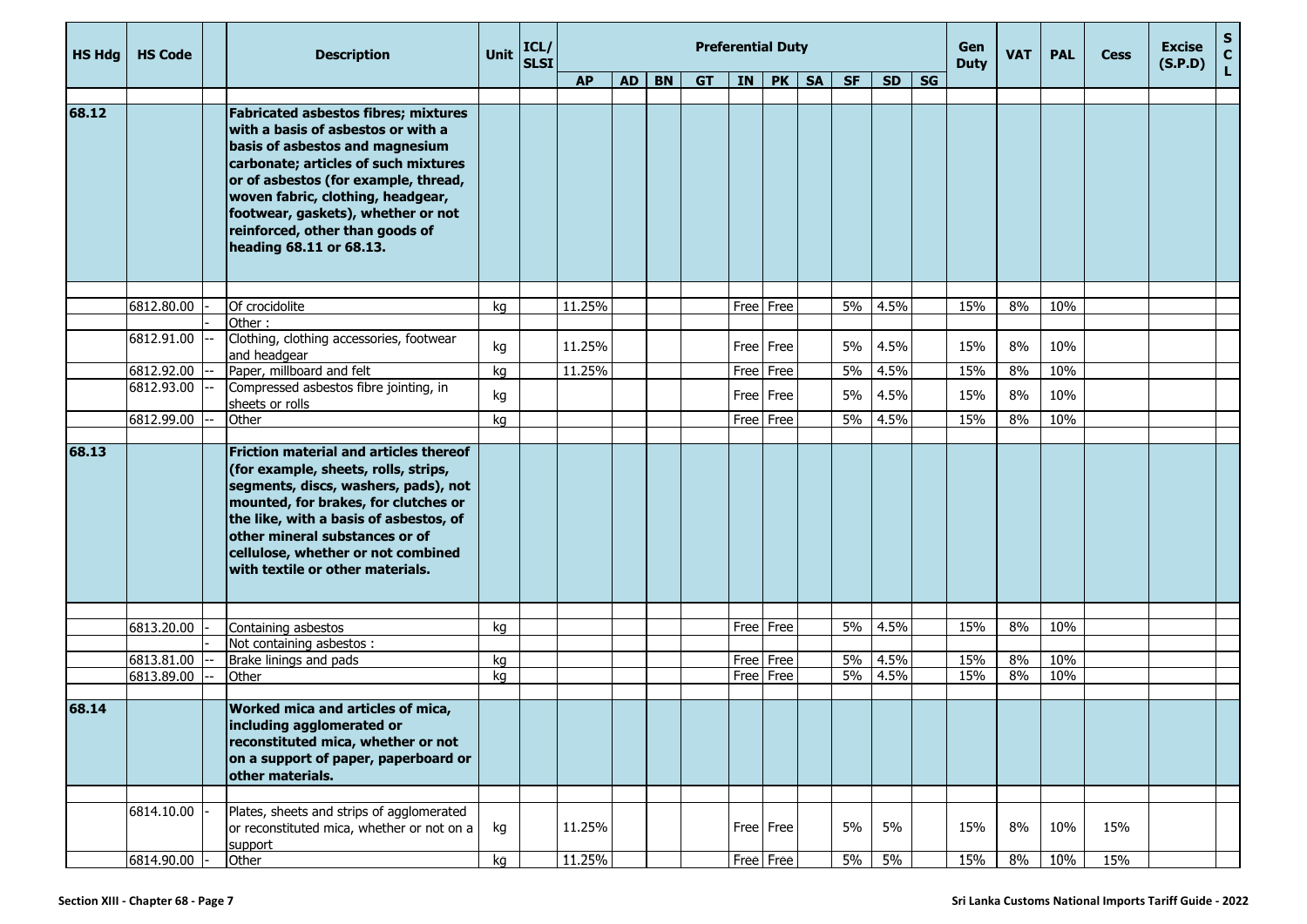| <b>HS Hdg</b> | <b>HS Code</b>           | <b>Description</b>                                                                                                                                                                                                                                                                                                                            | Unit     | ICL/<br>SLSI |                  |           |           |           |             | <b>Preferential Duty</b> |           |           |             |           | Gen<br><b>Duty</b> | <b>VAT</b> | <b>PAL</b> | <b>Cess</b> | <b>Excise</b><br>(S.P.D) | S<br>$\mathbf C$ |
|---------------|--------------------------|-----------------------------------------------------------------------------------------------------------------------------------------------------------------------------------------------------------------------------------------------------------------------------------------------------------------------------------------------|----------|--------------|------------------|-----------|-----------|-----------|-------------|--------------------------|-----------|-----------|-------------|-----------|--------------------|------------|------------|-------------|--------------------------|------------------|
|               |                          |                                                                                                                                                                                                                                                                                                                                               |          |              | <b>AP</b>        | <b>AD</b> | <b>BN</b> | <b>GT</b> | IN <b>I</b> | <b>PK</b>                | <b>SA</b> | <b>SF</b> | <b>SD</b>   | <b>SG</b> |                    |            |            |             |                          |                  |
|               |                          |                                                                                                                                                                                                                                                                                                                                               |          |              |                  |           |           |           |             |                          |           |           |             |           |                    |            |            |             |                          |                  |
| 68.12         |                          | <b>Fabricated asbestos fibres; mixtures</b><br>with a basis of asbestos or with a<br>basis of asbestos and magnesium<br>carbonate; articles of such mixtures<br>or of asbestos (for example, thread,<br>woven fabric, clothing, headgear,<br>footwear, gaskets), whether or not<br>reinforced, other than goods of<br>heading 68.11 or 68.13. |          |              |                  |           |           |           |             |                          |           |           |             |           |                    |            |            |             |                          |                  |
|               | 6812.80.00               | Of crocidolite                                                                                                                                                                                                                                                                                                                                | kg       |              | 11.25%           |           |           |           |             | Free Free                |           | 5%        | 4.5%        |           | 15%                | 8%         | 10%        |             |                          |                  |
|               |                          | Other:                                                                                                                                                                                                                                                                                                                                        |          |              |                  |           |           |           |             |                          |           |           |             |           |                    |            |            |             |                          |                  |
|               | 6812.91.00               | Clothing, clothing accessories, footwear<br>and headgear                                                                                                                                                                                                                                                                                      | kg       |              | 11.25%           |           |           |           | Free        | Free                     |           | 5%        | 4.5%        |           | 15%                | 8%         | 10%        |             |                          |                  |
|               | 6812.92.00               | Paper, millboard and felt                                                                                                                                                                                                                                                                                                                     | kg       |              | 11.25%           |           |           |           | Free        | Free                     |           | 5%        | 4.5%        |           | 15%                | 8%         | 10%        |             |                          |                  |
|               | 6812.93.00               | Compressed asbestos fibre jointing, in<br>sheets or rolls                                                                                                                                                                                                                                                                                     | kg       |              |                  |           |           |           | Free        | Free                     |           | 5%        | 4.5%        |           | 15%                | 8%         | 10%        |             |                          |                  |
|               | 6812.99.00               | Other                                                                                                                                                                                                                                                                                                                                         | kg       |              |                  |           |           |           |             | Free Free                |           | 5%        | 4.5%        |           | 15%                | 8%         | 10%        |             |                          |                  |
| 68.13         |                          | <b>Friction material and articles thereof</b><br>(for example, sheets, rolls, strips,<br>segments, discs, washers, pads), not<br>mounted, for brakes, for clutches or<br>the like, with a basis of asbestos, of<br>other mineral substances or of<br>cellulose, whether or not combined<br>with textile or other materials.                   |          |              |                  |           |           |           |             |                          |           |           |             |           |                    |            |            |             |                          |                  |
|               |                          |                                                                                                                                                                                                                                                                                                                                               |          |              |                  |           |           |           |             |                          |           |           |             |           |                    |            |            |             |                          |                  |
|               | 6813.20.00               | Containing asbestos                                                                                                                                                                                                                                                                                                                           | kg       |              |                  |           |           |           | Free        | Free                     |           | 5%        | 4.5%        |           | 15%                | 8%         | 10%        |             |                          |                  |
|               | 6813.81.00               | Not containing asbestos :<br>Brake linings and pads                                                                                                                                                                                                                                                                                           | kg       |              |                  |           |           |           |             | Free Free                |           | $5\%$     | 4.5%        |           | 15%                | 8%         | 10%        |             |                          |                  |
|               | 6813.89.00               | Other                                                                                                                                                                                                                                                                                                                                         | kg       |              |                  |           |           |           |             | Free Free                |           | 5%        | 4.5%        |           | 15%                | 8%         | 10%        |             |                          |                  |
| 68.14         |                          | Worked mica and articles of mica,<br>including agglomerated or<br>reconstituted mica, whether or not<br>on a support of paper, paperboard or<br>other materials.                                                                                                                                                                              |          |              |                  |           |           |           |             |                          |           |           |             |           |                    |            |            |             |                          |                  |
|               | 6814.10.00<br>6814.90.00 | Plates, sheets and strips of agglomerated<br>or reconstituted mica, whether or not on a<br>support<br>Other                                                                                                                                                                                                                                   | kg<br>kg |              | 11.25%<br>11.25% |           |           |           |             | Free Free<br>Free Free   |           | 5%<br>5%  | 5%<br>$5\%$ |           | 15%<br>15%         | 8%<br>8%   | 10%<br>10% | 15%<br>15%  |                          |                  |